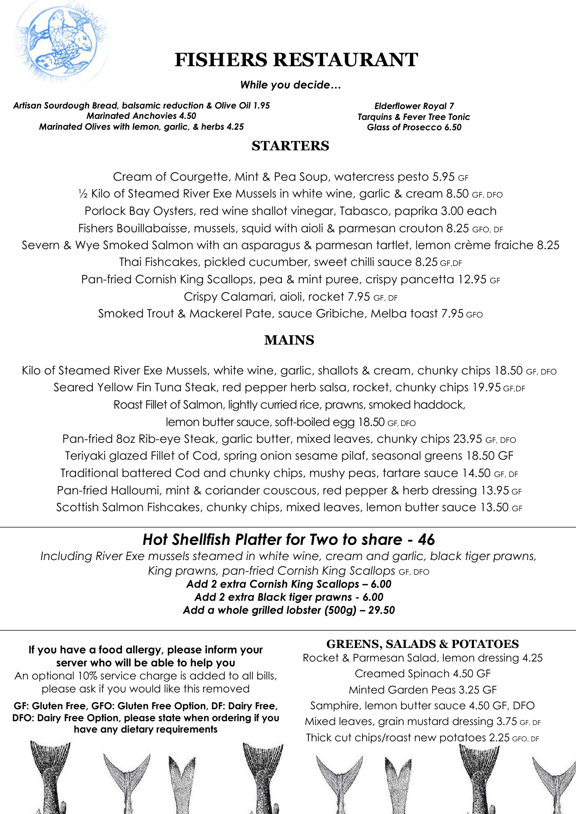

# **FISHERS RESTAURANT**

*While you decide…*

*Artisan Sourdough Bread, balsamic reduction & Olive Oil 1.95 Marinated Anchovies 4.50 Marinated Olives with lemon, garlic, & herbs 4.25*

*Elderflower Royal 7 Tarquins & Fever Tree Tonic Glass of Prosecco 6.50*

### **STARTERS**

Cream of Courgette, Mint & Pea Soup, watercress pesto 5.95 GF <sup>1/2</sup> Kilo of Steamed River Exe Mussels in white wine, garlic & cream 8.50 GF, DFO Porlock Bay Oysters, red wine shallot vinegar, Tabasco, paprika 3.00 each Fishers Bouillabaisse, mussels, squid with aioli & parmesan crouton 8.25 GFO, DF Severn & Wye Smoked Salmon with an asparagus & parmesan tartlet, lemon crème fraiche 8.25 Thai Fishcakes, pickled cucumber, sweet chilli sauce 8.25 GF,DF Pan-fried Cornish King Scallops, pea & mint puree, crispy pancetta 12.95 GF Crispy Calamari, aioli, rocket 7.95 GF, DF Smoked Trout & Mackerel Pate, sauce Gribiche, Melba toast 7.95 GFO

### **MAINS**

Kilo of Steamed River Exe Mussels, white wine, garlic, shallots & cream, chunky chips 18.50 GF, DFO Seared Yellow Fin Tuna Steak, red pepper herb salsa, rocket, chunky chips 19.95 GF.DF Roast Fillet of Salmon, lightly curried rice, prawns, smoked haddock,

lemon butter sauce, soft-boiled egg 18.50 GF, DFO

Pan-fried 8oz Rib-eye Steak, garlic butter, mixed leaves, chunky chips 23.95 GF, DFO Teriyaki glazed Fillet of Cod, spring onion sesame pilaf, seasonal greens 18.50 GF Traditional battered Cod and chunky chips, mushy peas, tartare sauce 14.50 GF, DF Pan-fried Halloumi, mint & coriander couscous, red pepper & herb dressing 13.95 GF Scottish Salmon Fishcakes, chunky chips, mixed leaves, lemon butter sauce 13.50 GF

# *Hot Shellfish Platter for Two to share - 46*

*Including River Exe mussels steamed in white wine, cream and garlic, black tiger prawns, King prawns, pan-fried Cornish King Scallops* GF, DFO

*Add 2 extra Cornish King Scallops – 6.00 Add 2 extra Black tiger prawns - 6.00 Add a whole grilled lobster (500g) – 29.50*

**If you have a food allergy, please inform your server who will be able to help you**  An optional 10% service charge is added to all bills, please ask if you would like this removed

**GF: Gluten Free, GFO: Gluten Free Option, DF: Dairy Free, DFO: Dairy Free Option, please state when ordering if you have any dietary requirements**



### **GREENS, SALADS & POTATOES**

Rocket & Parmesan Salad, lemon dressing 4.25 Creamed Spinach 4.50 GF Minted Garden Peas 3.25 GF Samphire, lemon butter sauce 4.50 GF, DFO Mixed leaves, grain mustard dressing 3.75 GF, DF Thick cut chips/roast new potatoes 2.25 GFO, DF